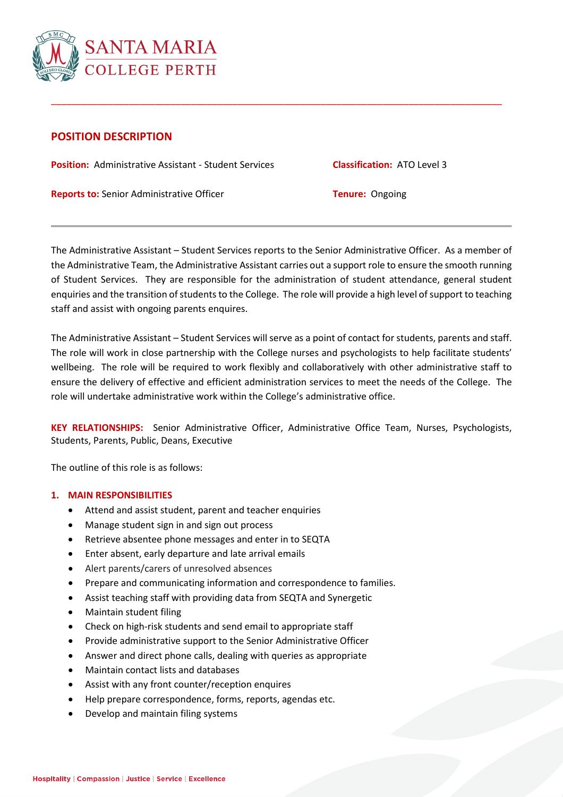

# **POSITION DESCRIPTION**

**Position:** Administrative Assistant - Student Services **Classification:** ATO Level 3

**Reports to:** Senior Administrative Officer **Tenure:** Ongoing

The Administrative Assistant – Student Services reports to the Senior Administrative Officer. As a member of the Administrative Team, the Administrative Assistant carries out a support role to ensure the smooth running of Student Services. They are responsible for the administration of student attendance, general student enquiries and the transition of students to the College. The role will provide a high level of support to teaching staff and assist with ongoing parents enquires.

\_\_\_\_\_\_\_\_\_\_\_\_\_\_\_\_\_\_\_\_\_\_\_\_\_\_\_\_\_\_\_\_\_\_\_\_\_\_\_\_\_\_\_\_\_\_\_\_\_\_\_\_\_\_\_\_\_\_\_\_\_\_\_\_\_\_\_\_\_\_\_\_\_\_\_\_\_\_\_\_\_\_\_\_\_\_\_

The Administrative Assistant – Student Services will serve as a point of contact for students, parents and staff. The role will work in close partnership with the College nurses and psychologists to help facilitate students' wellbeing. The role will be required to work flexibly and collaboratively with other administrative staff to ensure the delivery of effective and efficient administration services to meet the needs of the College. The role will undertake administrative work within the College's administrative office.

**KEY RELATIONSHIPS:** Senior Administrative Officer, Administrative Office Team, Nurses, Psychologists, Students, Parents, Public, Deans, Executive

The outline of this role is as follows:

## **1. MAIN RESPONSIBILITIES**

- Attend and assist student, parent and teacher enquiries
- Manage student sign in and sign out process
- Retrieve absentee phone messages and enter in to SEQTA
- Enter absent, early departure and late arrival emails
- Alert parents/carers of unresolved absences
- Prepare and communicating information and correspondence to families.
- Assist teaching staff with providing data from SEQTA and Synergetic
- Maintain student filing
- Check on high-risk students and send email to appropriate staff
- Provide administrative support to the Senior Administrative Officer
- Answer and direct phone calls, dealing with queries as appropriate
- Maintain contact lists and databases
- Assist with any front counter/reception enquires
- Help prepare correspondence, forms, reports, agendas etc.
- Develop and maintain filing systems